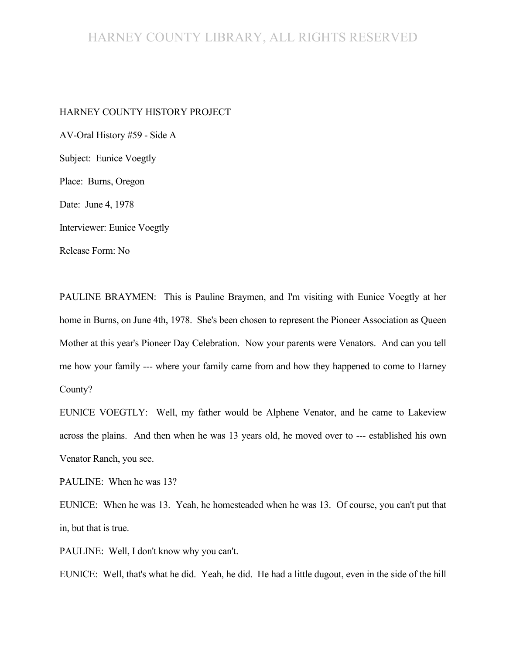#### HARNEY COUNTY LIBRARY, ALL RIGHTS RESERVED

#### HARNEY COUNTY HISTORY PROJECT

AV-Oral History #59 - Side A Subject: Eunice Voegtly Place: Burns, Oregon Date: June 4, 1978 Interviewer: Eunice Voegtly Release Form: No

PAULINE BRAYMEN: This is Pauline Braymen, and I'm visiting with Eunice Voegtly at her home in Burns, on June 4th, 1978. She's been chosen to represent the Pioneer Association as Queen Mother at this year's Pioneer Day Celebration. Now your parents were Venators. And can you tell me how your family --- where your family came from and how they happened to come to Harney County?

EUNICE VOEGTLY: Well, my father would be Alphene Venator, and he came to Lakeview across the plains. And then when he was 13 years old, he moved over to --- established his own Venator Ranch, you see.

PAULINE: When he was 13?

EUNICE: When he was 13. Yeah, he homesteaded when he was 13. Of course, you can't put that in, but that is true.

PAULINE: Well, I don't know why you can't.

EUNICE: Well, that's what he did. Yeah, he did. He had a little dugout, even in the side of the hill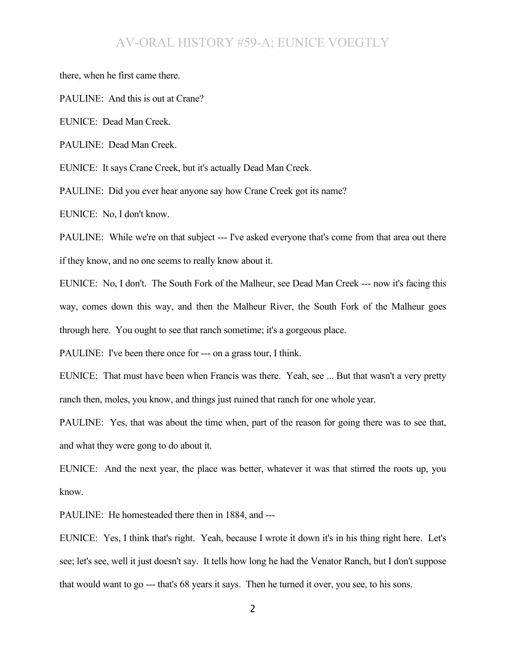there, when he first came there.

PAULINE: And this is out at Crane?

EUNICE: Dead Man Creek.

PAULINE: Dead Man Creek.

EUNICE: It says Crane Creek, but it's actually Dead Man Creek.

PAULINE: Did you ever hear anyone say how Crane Creek got its name?

EUNICE: No, I don't know.

PAULINE: While we're on that subject --- I've asked everyone that's come from that area out there if they know, and no one seems to really know about it.

EUNICE: No, I don't. The South Fork of the Malheur, see Dead Man Creek --- now it's facing this way, comes down this way, and then the Malheur River, the South Fork of the Malheur goes through here. You ought to see that ranch sometime; it's a gorgeous place.

PAULINE: I've been there once for --- on a grass tour, I think.

EUNICE: That must have been when Francis was there. Yeah, see ... But that wasn't a very pretty ranch then, moles, you know, and things just ruined that ranch for one whole year.

PAULINE: Yes, that was about the time when, part of the reason for going there was to see that, and what they were gong to do about it.

EUNICE: And the next year, the place was better, whatever it was that stirred the roots up, you know.

PAULINE: He homesteaded there then in 1884, and ---

EUNICE: Yes, I think that's right. Yeah, because I wrote it down it's in his thing right here. Let's see; let's see, well it just doesn't say. It tells how long he had the Venator Ranch, but I don't suppose that would want to go --- that's 68 years it says. Then he turned it over, you see, to his sons.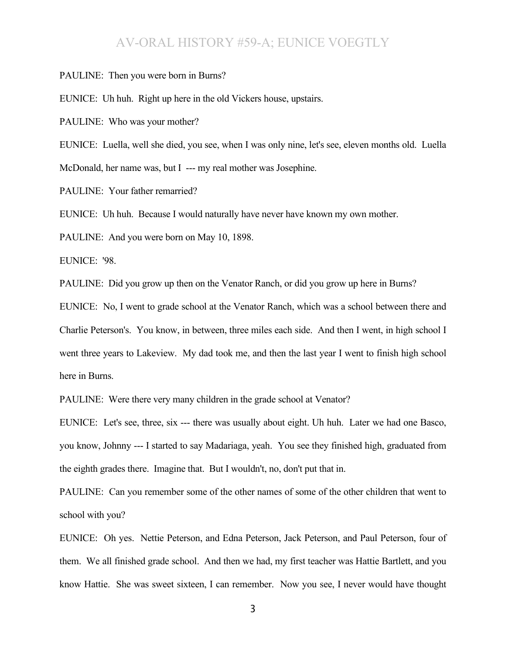PAULINE: Then you were born in Burns?

EUNICE: Uh huh. Right up here in the old Vickers house, upstairs.

PAULINE: Who was your mother?

EUNICE: Luella, well she died, you see, when I was only nine, let's see, eleven months old. Luella McDonald, her name was, but I --- my real mother was Josephine.

PAULINE: Your father remarried?

EUNICE: Uh huh. Because I would naturally have never have known my own mother.

PAULINE: And you were born on May 10, 1898.

EUNICE: '98.

PAULINE: Did you grow up then on the Venator Ranch, or did you grow up here in Burns?

EUNICE: No, I went to grade school at the Venator Ranch, which was a school between there and Charlie Peterson's. You know, in between, three miles each side. And then I went, in high school I went three years to Lakeview. My dad took me, and then the last year I went to finish high school here in Burns.

PAULINE: Were there very many children in the grade school at Venator?

EUNICE: Let's see, three, six --- there was usually about eight. Uh huh. Later we had one Basco, you know, Johnny --- I started to say Madariaga, yeah. You see they finished high, graduated from the eighth grades there. Imagine that. But I wouldn't, no, don't put that in.

PAULINE: Can you remember some of the other names of some of the other children that went to school with you?

EUNICE: Oh yes. Nettie Peterson, and Edna Peterson, Jack Peterson, and Paul Peterson, four of them. We all finished grade school. And then we had, my first teacher was Hattie Bartlett, and you know Hattie. She was sweet sixteen, I can remember. Now you see, I never would have thought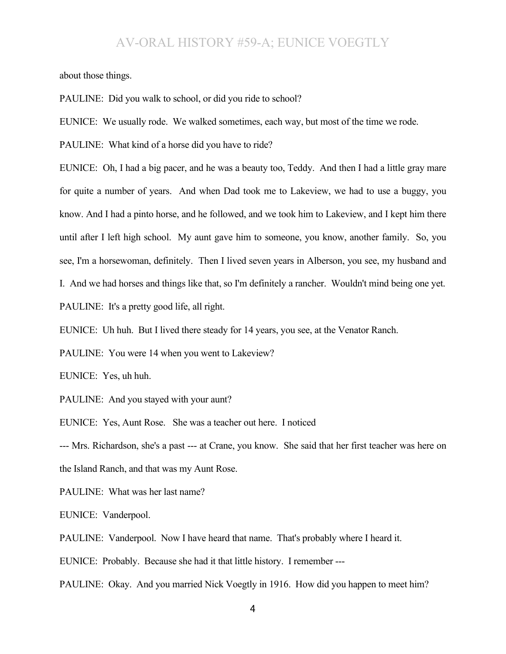about those things.

PAULINE: Did you walk to school, or did you ride to school?

EUNICE: We usually rode. We walked sometimes, each way, but most of the time we rode.

PAULINE: What kind of a horse did you have to ride?

EUNICE: Oh, I had a big pacer, and he was a beauty too, Teddy. And then I had a little gray mare for quite a number of years. And when Dad took me to Lakeview, we had to use a buggy, you know. And I had a pinto horse, and he followed, and we took him to Lakeview, and I kept him there until after I left high school. My aunt gave him to someone, you know, another family. So, you see, I'm a horsewoman, definitely. Then I lived seven years in Alberson, you see, my husband and I. And we had horses and things like that, so I'm definitely a rancher. Wouldn't mind being one yet. PAULINE: It's a pretty good life, all right.

EUNICE: Uh huh. But I lived there steady for 14 years, you see, at the Venator Ranch.

PAULINE: You were 14 when you went to Lakeview?

EUNICE: Yes, uh huh.

PAULINE: And you stayed with your aunt?

EUNICE: Yes, Aunt Rose. She was a teacher out here. I noticed

--- Mrs. Richardson, she's a past --- at Crane, you know. She said that her first teacher was here on the Island Ranch, and that was my Aunt Rose.

PAULINE: What was her last name?

EUNICE: Vanderpool.

PAULINE: Vanderpool. Now I have heard that name. That's probably where I heard it.

EUNICE: Probably. Because she had it that little history. I remember ---

PAULINE: Okay. And you married Nick Voegtly in 1916. How did you happen to meet him?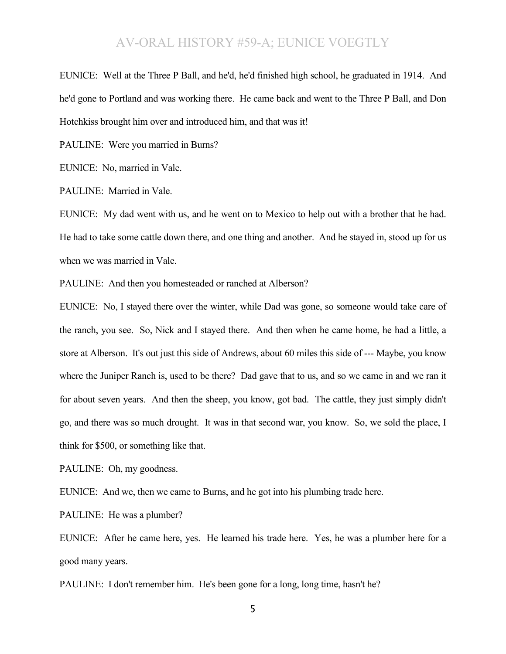EUNICE: Well at the Three P Ball, and he'd, he'd finished high school, he graduated in 1914. And he'd gone to Portland and was working there. He came back and went to the Three P Ball, and Don Hotchkiss brought him over and introduced him, and that was it!

PAULINE: Were you married in Burns?

EUNICE: No, married in Vale.

PAULINE: Married in Vale.

EUNICE: My dad went with us, and he went on to Mexico to help out with a brother that he had. He had to take some cattle down there, and one thing and another. And he stayed in, stood up for us when we was married in Vale.

PAULINE: And then you homesteaded or ranched at Alberson?

EUNICE: No, I stayed there over the winter, while Dad was gone, so someone would take care of the ranch, you see. So, Nick and I stayed there. And then when he came home, he had a little, a store at Alberson. It's out just this side of Andrews, about 60 miles this side of --- Maybe, you know where the Juniper Ranch is, used to be there? Dad gave that to us, and so we came in and we ran it for about seven years. And then the sheep, you know, got bad. The cattle, they just simply didn't go, and there was so much drought. It was in that second war, you know. So, we sold the place, I think for \$500, or something like that.

PAULINE: Oh, my goodness.

EUNICE: And we, then we came to Burns, and he got into his plumbing trade here.

PAULINE: He was a plumber?

EUNICE: After he came here, yes. He learned his trade here. Yes, he was a plumber here for a good many years.

PAULINE: I don't remember him. He's been gone for a long, long time, hasn't he?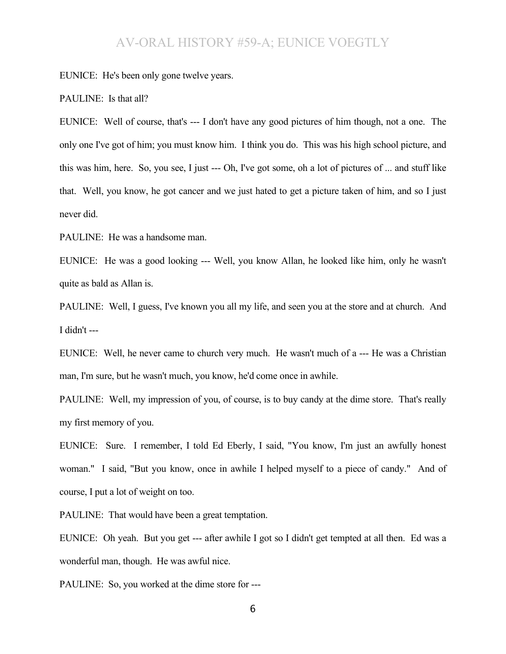EUNICE: He's been only gone twelve years.

#### PAULINE: Is that all?

EUNICE: Well of course, that's --- I don't have any good pictures of him though, not a one. The only one I've got of him; you must know him. I think you do. This was his high school picture, and this was him, here. So, you see, I just --- Oh, I've got some, oh a lot of pictures of ... and stuff like that. Well, you know, he got cancer and we just hated to get a picture taken of him, and so I just never did.

PAULINE: He was a handsome man.

EUNICE: He was a good looking --- Well, you know Allan, he looked like him, only he wasn't quite as bald as Allan is.

PAULINE: Well, I guess, I've known you all my life, and seen you at the store and at church. And I didn't ---

EUNICE: Well, he never came to church very much. He wasn't much of a --- He was a Christian man, I'm sure, but he wasn't much, you know, he'd come once in awhile.

PAULINE: Well, my impression of you, of course, is to buy candy at the dime store. That's really my first memory of you.

EUNICE: Sure. I remember, I told Ed Eberly, I said, "You know, I'm just an awfully honest woman." I said, "But you know, once in awhile I helped myself to a piece of candy." And of course, I put a lot of weight on too.

PAULINE: That would have been a great temptation.

EUNICE: Oh yeah. But you get --- after awhile I got so I didn't get tempted at all then. Ed was a wonderful man, though. He was awful nice.

PAULINE: So, you worked at the dime store for ---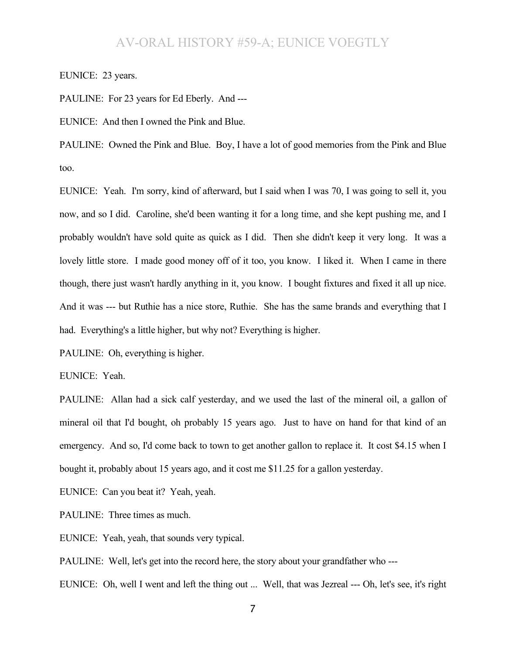EUNICE: 23 years.

PAULINE: For 23 years for Ed Eberly. And ---

EUNICE: And then I owned the Pink and Blue.

PAULINE: Owned the Pink and Blue. Boy, I have a lot of good memories from the Pink and Blue too.

EUNICE: Yeah. I'm sorry, kind of afterward, but I said when I was 70, I was going to sell it, you now, and so I did. Caroline, she'd been wanting it for a long time, and she kept pushing me, and I probably wouldn't have sold quite as quick as I did. Then she didn't keep it very long. It was a lovely little store. I made good money off of it too, you know. I liked it. When I came in there though, there just wasn't hardly anything in it, you know. I bought fixtures and fixed it all up nice. And it was --- but Ruthie has a nice store, Ruthie. She has the same brands and everything that I had. Everything's a little higher, but why not? Everything is higher.

PAULINE: Oh, everything is higher.

EUNICE: Yeah.

PAULINE: Allan had a sick calf yesterday, and we used the last of the mineral oil, a gallon of mineral oil that I'd bought, oh probably 15 years ago. Just to have on hand for that kind of an emergency. And so, I'd come back to town to get another gallon to replace it. It cost \$4.15 when I bought it, probably about 15 years ago, and it cost me \$11.25 for a gallon yesterday.

EUNICE: Can you beat it? Yeah, yeah.

PAULINE: Three times as much.

EUNICE: Yeah, yeah, that sounds very typical.

PAULINE: Well, let's get into the record here, the story about your grandfather who ---

EUNICE: Oh, well I went and left the thing out ... Well, that was Jezreal --- Oh, let's see, it's right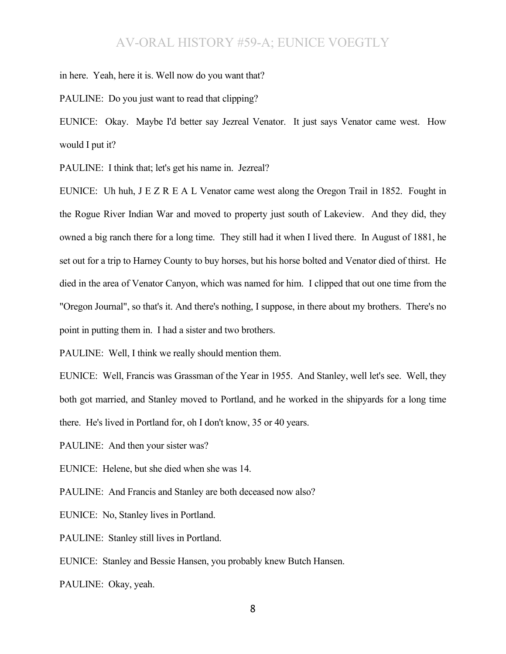in here. Yeah, here it is. Well now do you want that?

PAULINE: Do you just want to read that clipping?

EUNICE: Okay. Maybe I'd better say Jezreal Venator. It just says Venator came west. How would I put it?

PAULINE: I think that; let's get his name in. Jezreal?

EUNICE: Uh huh, J E Z R E A L Venator came west along the Oregon Trail in 1852. Fought in the Rogue River Indian War and moved to property just south of Lakeview. And they did, they owned a big ranch there for a long time. They still had it when I lived there. In August of 1881, he set out for a trip to Harney County to buy horses, but his horse bolted and Venator died of thirst. He died in the area of Venator Canyon, which was named for him. I clipped that out one time from the "Oregon Journal", so that's it. And there's nothing, I suppose, in there about my brothers. There's no point in putting them in. I had a sister and two brothers.

PAULINE: Well, I think we really should mention them.

EUNICE: Well, Francis was Grassman of the Year in 1955. And Stanley, well let's see. Well, they both got married, and Stanley moved to Portland, and he worked in the shipyards for a long time there. He's lived in Portland for, oh I don't know, 35 or 40 years.

PAULINE: And then your sister was?

EUNICE: Helene, but she died when she was 14.

PAULINE: And Francis and Stanley are both deceased now also?

EUNICE: No, Stanley lives in Portland.

PAULINE: Stanley still lives in Portland.

EUNICE: Stanley and Bessie Hansen, you probably knew Butch Hansen.

PAULINE: Okay, yeah.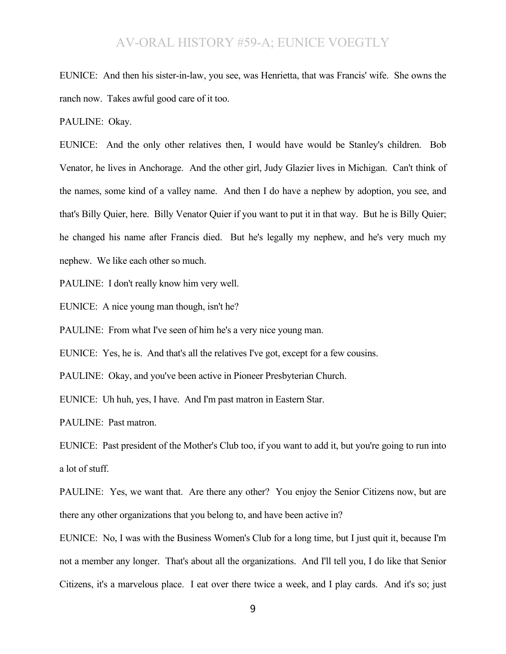EUNICE: And then his sister-in-law, you see, was Henrietta, that was Francis' wife. She owns the ranch now. Takes awful good care of it too.

PAULINE: Okay.

EUNICE: And the only other relatives then, I would have would be Stanley's children. Bob Venator, he lives in Anchorage. And the other girl, Judy Glazier lives in Michigan. Can't think of the names, some kind of a valley name. And then I do have a nephew by adoption, you see, and that's Billy Quier, here. Billy Venator Quier if you want to put it in that way. But he is Billy Quier; he changed his name after Francis died. But he's legally my nephew, and he's very much my nephew. We like each other so much.

PAULINE: I don't really know him very well.

EUNICE: A nice young man though, isn't he?

PAULINE: From what I've seen of him he's a very nice young man.

EUNICE: Yes, he is. And that's all the relatives I've got, except for a few cousins.

PAULINE: Okay, and you've been active in Pioneer Presbyterian Church.

EUNICE: Uh huh, yes, I have. And I'm past matron in Eastern Star.

PAULINE: Past matron.

EUNICE: Past president of the Mother's Club too, if you want to add it, but you're going to run into a lot of stuff.

PAULINE: Yes, we want that. Are there any other? You enjoy the Senior Citizens now, but are there any other organizations that you belong to, and have been active in?

EUNICE: No, I was with the Business Women's Club for a long time, but I just quit it, because I'm not a member any longer. That's about all the organizations. And I'll tell you, I do like that Senior Citizens, it's a marvelous place. I eat over there twice a week, and I play cards. And it's so; just

9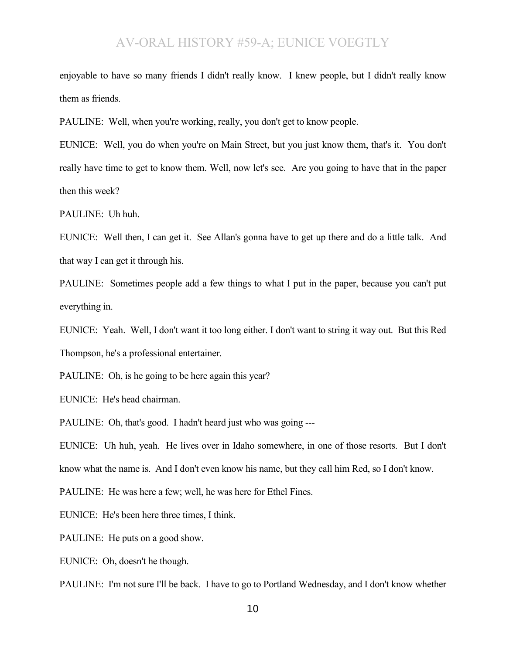enjoyable to have so many friends I didn't really know. I knew people, but I didn't really know them as friends.

PAULINE: Well, when you're working, really, you don't get to know people.

EUNICE: Well, you do when you're on Main Street, but you just know them, that's it. You don't really have time to get to know them. Well, now let's see. Are you going to have that in the paper then this week?

PAULINE: Uh huh.

EUNICE: Well then, I can get it. See Allan's gonna have to get up there and do a little talk. And that way I can get it through his.

PAULINE: Sometimes people add a few things to what I put in the paper, because you can't put everything in.

EUNICE: Yeah. Well, I don't want it too long either. I don't want to string it way out. But this Red Thompson, he's a professional entertainer.

PAULINE: Oh, is he going to be here again this year?

EUNICE: He's head chairman.

PAULINE: Oh, that's good. I hadn't heard just who was going ---

EUNICE: Uh huh, yeah. He lives over in Idaho somewhere, in one of those resorts. But I don't know what the name is. And I don't even know his name, but they call him Red, so I don't know.

PAULINE: He was here a few; well, he was here for Ethel Fines.

EUNICE: He's been here three times, I think.

PAULINE: He puts on a good show.

EUNICE: Oh, doesn't he though.

PAULINE: I'm not sure I'll be back. I have to go to Portland Wednesday, and I don't know whether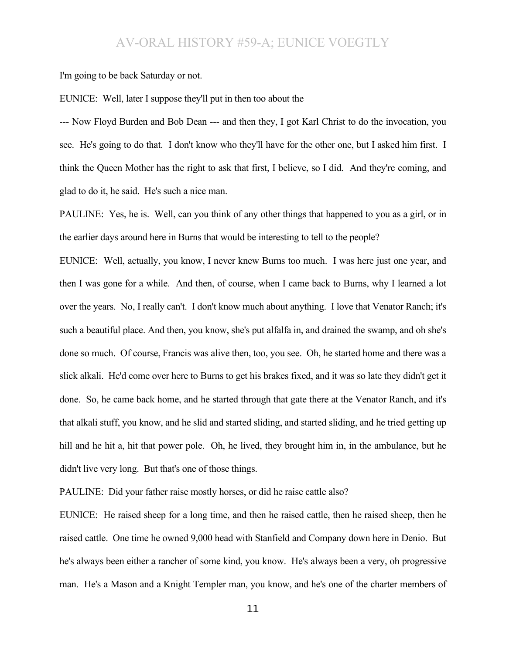I'm going to be back Saturday or not.

EUNICE: Well, later I suppose they'll put in then too about the

--- Now Floyd Burden and Bob Dean --- and then they, I got Karl Christ to do the invocation, you see. He's going to do that. I don't know who they'll have for the other one, but I asked him first. I think the Queen Mother has the right to ask that first, I believe, so I did. And they're coming, and glad to do it, he said. He's such a nice man.

PAULINE: Yes, he is. Well, can you think of any other things that happened to you as a girl, or in the earlier days around here in Burns that would be interesting to tell to the people?

EUNICE: Well, actually, you know, I never knew Burns too much. I was here just one year, and then I was gone for a while. And then, of course, when I came back to Burns, why I learned a lot over the years. No, I really can't. I don't know much about anything. I love that Venator Ranch; it's such a beautiful place. And then, you know, she's put alfalfa in, and drained the swamp, and oh she's done so much. Of course, Francis was alive then, too, you see. Oh, he started home and there was a slick alkali. He'd come over here to Burns to get his brakes fixed, and it was so late they didn't get it done. So, he came back home, and he started through that gate there at the Venator Ranch, and it's that alkali stuff, you know, and he slid and started sliding, and started sliding, and he tried getting up hill and he hit a, hit that power pole. Oh, he lived, they brought him in, in the ambulance, but he didn't live very long. But that's one of those things.

PAULINE: Did your father raise mostly horses, or did he raise cattle also?

EUNICE: He raised sheep for a long time, and then he raised cattle, then he raised sheep, then he raised cattle. One time he owned 9,000 head with Stanfield and Company down here in Denio. But he's always been either a rancher of some kind, you know. He's always been a very, oh progressive man. He's a Mason and a Knight Templer man, you know, and he's one of the charter members of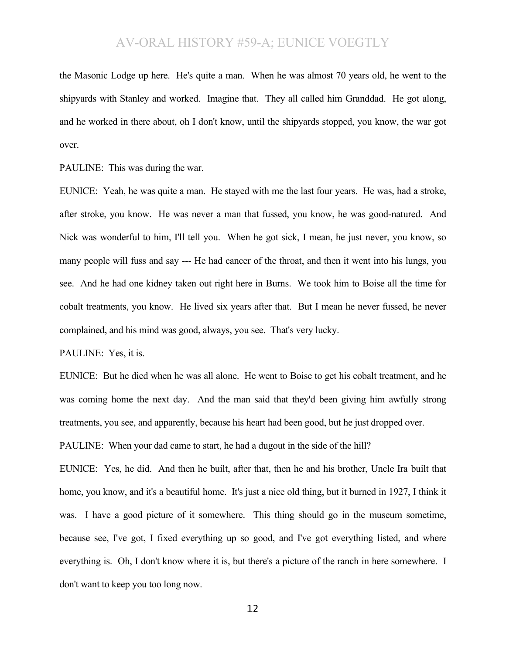the Masonic Lodge up here. He's quite a man. When he was almost 70 years old, he went to the shipyards with Stanley and worked. Imagine that. They all called him Granddad. He got along, and he worked in there about, oh I don't know, until the shipyards stopped, you know, the war got over.

PAULINE: This was during the war.

EUNICE: Yeah, he was quite a man. He stayed with me the last four years. He was, had a stroke, after stroke, you know. He was never a man that fussed, you know, he was good-natured. And Nick was wonderful to him, I'll tell you. When he got sick, I mean, he just never, you know, so many people will fuss and say --- He had cancer of the throat, and then it went into his lungs, you see. And he had one kidney taken out right here in Burns. We took him to Boise all the time for cobalt treatments, you know. He lived six years after that. But I mean he never fussed, he never complained, and his mind was good, always, you see. That's very lucky.

PAULINE: Yes, it is.

EUNICE: But he died when he was all alone. He went to Boise to get his cobalt treatment, and he was coming home the next day. And the man said that they'd been giving him awfully strong treatments, you see, and apparently, because his heart had been good, but he just dropped over.

PAULINE: When your dad came to start, he had a dugout in the side of the hill?

EUNICE: Yes, he did. And then he built, after that, then he and his brother, Uncle Ira built that home, you know, and it's a beautiful home. It's just a nice old thing, but it burned in 1927, I think it was. I have a good picture of it somewhere. This thing should go in the museum sometime, because see, I've got, I fixed everything up so good, and I've got everything listed, and where everything is. Oh, I don't know where it is, but there's a picture of the ranch in here somewhere. I don't want to keep you too long now.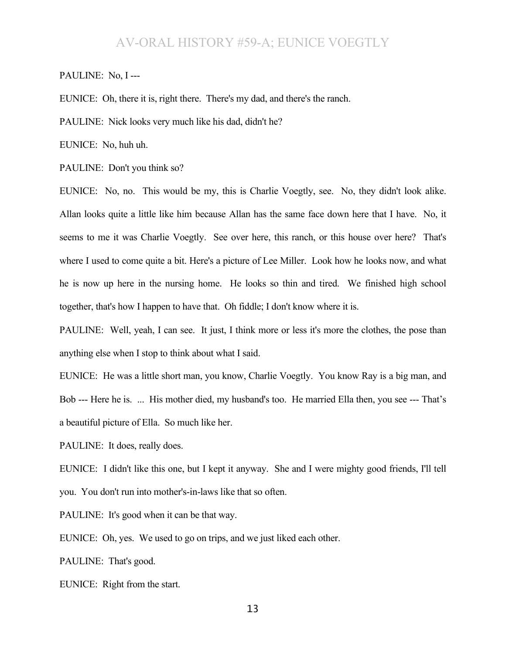#### PAULINE: No, I ---

EUNICE: Oh, there it is, right there. There's my dad, and there's the ranch.

PAULINE: Nick looks very much like his dad, didn't he?

EUNICE: No, huh uh.

PAULINE: Don't you think so?

EUNICE: No, no. This would be my, this is Charlie Voegtly, see. No, they didn't look alike. Allan looks quite a little like him because Allan has the same face down here that I have. No, it seems to me it was Charlie Voegtly. See over here, this ranch, or this house over here? That's where I used to come quite a bit. Here's a picture of Lee Miller. Look how he looks now, and what he is now up here in the nursing home. He looks so thin and tired. We finished high school together, that's how I happen to have that. Oh fiddle; I don't know where it is.

PAULINE: Well, yeah, I can see. It just, I think more or less it's more the clothes, the pose than anything else when I stop to think about what I said.

EUNICE: He was a little short man, you know, Charlie Voegtly. You know Ray is a big man, and Bob --- Here he is. ... His mother died, my husband's too. He married Ella then, you see --- That's a beautiful picture of Ella. So much like her.

PAULINE: It does, really does.

EUNICE: I didn't like this one, but I kept it anyway. She and I were mighty good friends, I'll tell you. You don't run into mother's-in-laws like that so often.

PAULINE: It's good when it can be that way.

EUNICE: Oh, yes. We used to go on trips, and we just liked each other.

PAULINE: That's good.

EUNICE: Right from the start.